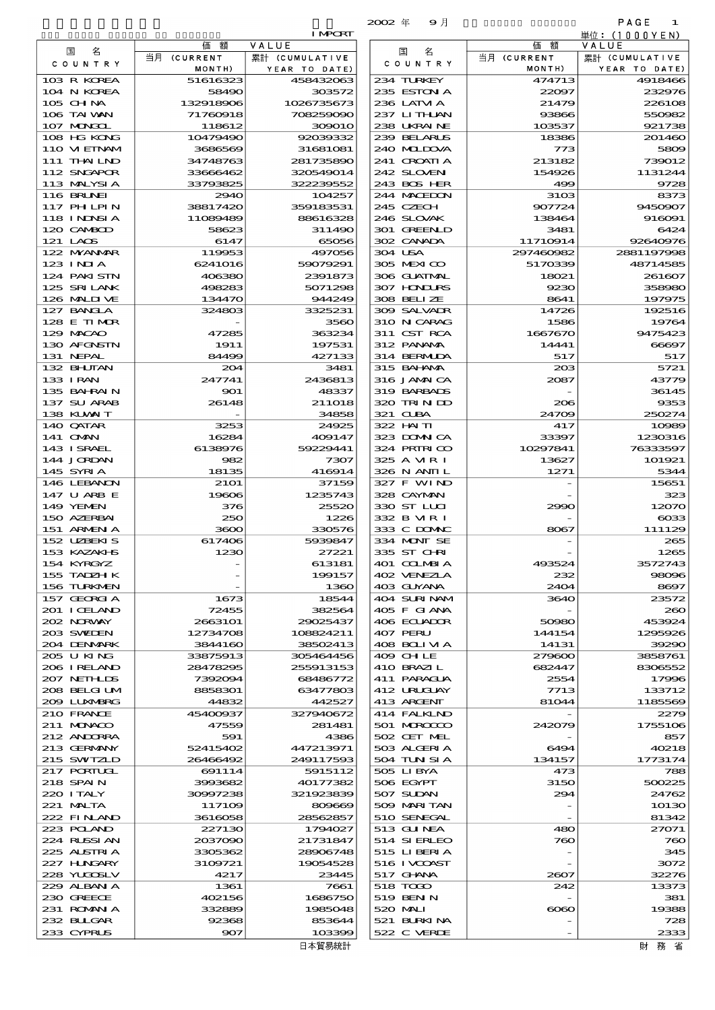|                            |                       |                            | $2002 \text{ } \#$<br>9月   |                       | PAGE<br>1                |
|----------------------------|-----------------------|----------------------------|----------------------------|-----------------------|--------------------------|
|                            |                       | <b>I MPORT</b>             |                            |                       | 単位:(1000YEN)             |
| 名<br>国<br>C O U N T R Y    | 額<br>価<br>当月 (CURRENT | VALUE<br>累計 (CUMULATIVE    | 名<br>国<br>C O U N T R Y    | 価額<br>当月 (CURRENT     | VALUE<br>累計 (CUMULATIVE  |
| 103 R KOREA                | MONTH)<br>51616323    | YEAR TO DATE)<br>458432063 | 234 TURKEY                 | MONTH)<br>474713      | YEAR TO DATE)<br>4918466 |
| 104 N KOREA                | 58490                 | 303572                     | 235 ESTON A                | 22097                 | 232976                   |
| 105 CHNA                   | 132918906             | 1026735673                 | 236 LATM A                 | 21479                 | 226108                   |
| 106 TAI WAN                | 71760918              | 708259090                  | 237 LITHAN                 | 93866                 | 550982                   |
| 107 MARGOL                 | 118612                | 309010                     | 238 UKRAINE                | 103537                | 921738                   |
| 108 HG KONG                | 10479490              | 92039332                   | 239 BELARUS                | 18386                 | 201460                   |
| 110 VIEINAM                | 3686569               | 31681081                   | 240 MIDOVA<br>241 CROATIA  | 773                   | 5809                     |
| 111 THAILND<br>112 SNGAPOR | 34748763<br>33666462  | 281735890<br>320549014     | 242 SLOVENI                | 213182<br>154926      | 739012<br>1131244        |
| 113 MALYSIA                | 33793825              | 322239552                  | 243 BOS HER                | 499                   | 9728                     |
| 116 BRUNEI                 | 2940                  | 104257                     | 244 MACEDON                | 31 <sub>OS</sub>      | 8373                     |
| 117 PH LPIN                | 38817420              | 359183531                  | 245 CZECH                  | 907724                | 9450907                  |
| 118 I NDNSI A              | 11089489              | 88616328                   | 246 SLOVAK                 | 138464                | 916091                   |
| 120 CAMBOD                 | 58623                 | 311490                     | 301 GREENLD                | 3481                  | 6424                     |
| 121 LAOS<br>122 MYANAR     | 6147<br>119953        | 65056<br>497056            | 302 CANADA<br>304 USA      | 11710914<br>297460982 | 92640976<br>2881197998   |
| $123$ INJA                 | 6241016               | 59079291                   | 305 MEXICO                 | 5170339               | 48714585                 |
| 124 PAKI STN               | 406380                | 2391873                    | 306 GUATMAL                | 18021                 | 261607                   |
| 125 SRILANK                | 498283                | 5071298                    | 307 HONDURS                | 9230                  | 358980                   |
| 126 MALINE                 | 134470                | 944249                     | 308 BELIZE                 | 8641                  | 197975                   |
| 127 BANCLA                 | 324803                | 3325231                    | 309 SALVAIR                | 14726                 | 192516                   |
| 128 E TIMOR                |                       | 3560                       | 310 N CARAG                | 1586                  | 19764                    |
| 129 MACAO<br>130 AFGNSIN   | 47285<br>1911         | 363234<br>197531           | 311 CST RCA<br>312 PANAMA  | 1667670<br>14441      | 9475423<br>66697         |
| 131 NEPAL                  | 84499                 | 427133                     | 314 BERMIDA                | 517                   | 517                      |
| 132 BHUTAN                 | 204                   | 3481                       | 315 BAHAMA                 | 203                   | 5721                     |
| 133 I RAN                  | 247741                | 2436813                    | 316 JAMAICA                | 2087                  | 43779                    |
| 135 BAHRAIN                | $\bf{SO}1$            | 48337                      | 319 BARBADS                |                       | 36145                    |
| 137 SU ARAB                | 26148                 | 211018                     | 320 TRINDO                 | 206                   | 9353                     |
| 138 KUWAIT<br>140 QATAR    | 3253                  | 34858<br>24925             | 321 CUBA<br>322 HAITI      | 24709<br>417          | 250274<br>10989          |
| 141 OMN                    | 16284                 | 409147                     | 323 DOMNICA                | 33397                 | 1230316                  |
| 143 ISRAEL                 | 6138976               | 59229441                   | 324 PRIRICO                | 10297841              | 76333597                 |
| 144 JORDAN                 | 982                   | 7307                       | 325 A VIR I                | 13627                 | 101921                   |
| 145 SYRIA                  | 18135                 | 416914                     | 326 N ANII L               | 1271                  | 5344                     |
| 146 LEBANON<br>147 U ARB E | <b>2101</b>           | 37159                      | 327 F WIND<br>328 CAYMAN   |                       | 15651<br>323             |
| 149 YEMEN                  | 19606<br>376          | 1235743<br>25520           | 330 ST LUI                 | 2990                  | 12070                    |
| 150 AZERBAI                | 250                   | 1226                       | 332 B MR I                 |                       | $\cos$                   |
| 151 ARMENIA                | 3600                  | 330576                     | 333 C DOMAC                | 8067                  | 111129                   |
| 152 UZBEKIS                | 617406                | 5939847                    | 334 MONT SE                |                       | 265                      |
| 153 KAZAKI B               | 1230                  | 27221                      | 335 ST CHRI                |                       | 1265                     |
| 154 KYRGYZ<br>155 TADZH K  |                       | 613181<br>199157           | 401 COLMBIA<br>402 VENEZIA | 493524<br>232         | 3572743<br>98096         |
| 156 TURKMEN                |                       | 1360                       | 403 GUYANA                 | 2404                  | 8697                     |
| 157 GEORGIA                | 1673                  | 18544                      | 404 SURINAM                | 3640                  | 23572                    |
| 201 ICELAND                | 72455                 | 382564                     | 405 F GIANA                |                       | 260                      |
| 202 N.R.WAY                | 2663101               | 29025437                   | 406 ECUADOR                | 50980                 | 453924                   |
| 203 SWIEN                  | 12734708              | 108824211                  | 407 PERU                   | 144154                | 1295926                  |
| 204 DENMARK<br>205 U KING  | 3844160<br>33875913   | 38502413<br>305464456      | 408 BOLI VI A<br>409 CHLE  | 14131<br>279600       | 39290<br>3858761         |
| 206 I RELAND               | 28478295              | 255913153                  | 410 BRAZIL                 | 682447                | 8306552                  |
| 207 NETHLIS                | 7392094               | 68486772                   | 411 PARAGUA                | 2554                  | 17996                    |
| 208 BELGI UM               | 8858301               | 63477803                   | 412 URUGIAY                | 7713                  | 133712                   |
| 2009 LUNABRG               | 44832                 | 442527                     | 413 ARGENT                 | 81044                 | 1185569                  |
| 210 FRANCE                 | 45400937              | 327940672                  | 414 FALKLND                |                       | 2279                     |
| 211 MUNACO<br>212 ANDORRA  | 47559<br>591          | 281481<br>4386             | 501 MROCCO<br>502 CET MEL  | 242079                | 1755106<br>857           |
| 213 GERMANY                | 52415402              | 447213971                  | 503 ALGERIA                | 6494                  | 40218                    |
| 215 SWIZLD                 | 26466492              | 249117593                  | 504 TUN SI A               | 134157                | 1773174                  |
| 217 PORTUGL                | 691114                | 5915112                    | 505 LIBYA                  | 473                   | 788                      |
| 218 SPAI N                 | 3993682               | 40177382                   | 506 EGYPT                  | 3150                  | 500225                   |
| 220 I TALY                 | 30997238              | 321923839                  | 507 SUDAN                  | 294                   | 24762                    |
| 221 MALTA<br>222 FINLAND   | 117109<br>3616058     | 809669<br>28562857         | 509 MARITAN<br>510 SENEGAL |                       | 10130<br>81342           |
| 223 POLAND                 | 227130                | 1794027                    | 513 GUNEA                  | 480                   | 27071                    |
| 224 RUSSI AN               | 2037090               | 21731847                   | 514 SI ERLEO               | 760                   | 760                      |
| 225 ALSTRIA                | 3305362               | 28906748                   | 515 LIBERIA                |                       | 345                      |
| 227 H.NGARY                | 3109721               | 19054528                   | 516 I VCOAST               |                       | 3072                     |
| 228 YUQOSLV<br>229 ALBAN A | 4217<br>1361          | 23445<br>7661              | 517 GHNA<br>518 TODO       | 2607<br>242           | 32276<br>13373           |
| 230 GREECE                 | 402156                | 1686750                    | 519 BEN N                  |                       | 381                      |
| 231 ROMANIA                | 332889                | 1985048                    | 520 MAI                    | $\infty$              | 19388                    |
| 232 BULGAR                 | 92368                 | 853644                     | 521 BURKINA                |                       | 728                      |
| 233 CYPRUS                 | 907                   | 103399                     | 522 C VERDE                |                       | 2333                     |

| 国<br>名                      | 価額                   | VALUE                      | 名<br>国                      | 価額               | VALUE                    |
|-----------------------------|----------------------|----------------------------|-----------------------------|------------------|--------------------------|
| COUNTRY                     | 当月 (CURRENT          | 累計 (CUMULATIVE             | COUNTRY                     | 当月 (CURRENT      | 累計 (CUMULATIVE           |
| 103 R KOREA                 | MONTH)<br>51616323   | YEAR TO DATE)<br>458432063 | 234 TURKEY                  | MONTH)<br>474713 | YEAR TO DATE)<br>4918466 |
| 104 N KOREA                 | 58490                | 303572                     | 235 ESTON A                 | 22097            | 232976                   |
| 105 CH NA                   | 132918906            | 1026735673                 | 236 LATM A                  | 21479            | 226106                   |
| 106 TAI WAN<br>107 MNGCL    | 71760918<br>118612   | 708259090<br>309010        | 237 LITHLAN<br>238 UKRAINE  | 93866<br>103537  | 550982<br>921738         |
| 108 HG KONG                 | 10479490             | 92039332                   | 239 BELARUS                 | 18386            | 201460                   |
| 110 VIEINAM                 | 3686569              | 31681081                   | 240 MIDIXA                  | 773              | 580£                     |
| 111 THAILND                 | 34748763             | 281735890                  | 241 CROATIA                 | 213182           | 739012                   |
| 112 SNGAPOR<br>113 MALYSIA  | 33666462<br>33793825 | 320549014<br>322239552     | 242 SLOVEN<br>243 BOS HER   | 154926<br>499    | 1131244<br>9728          |
| <b>116 BRUNEI</b>           | 2940                 | 104257                     | 244 MACHON                  | 31 <sub>OS</sub> | 8373                     |
| 117 PHLPIN                  | 38817420             | 359183531                  | 245 CZECH                   | 907724           | 9450907                  |
| 118 I NDSI A                | 11089489             | 88616328                   | 246 SLOVAK                  | 138464           | 916091                   |
| 120 CAMBOD<br>121 LACS      | 58623<br>6147        | 311490<br>65056            | 301 GREENLD<br>302 CANADA   | 3481<br>11710914 | 6424<br>92640976         |
| 122 MYANMAR                 | 119953               | 497056                     | 304 USA                     | 297460982        | 2881197996               |
| 123 INIA                    | 6241016              | 59079291                   | 305 MEXICO                  | 5170339          | 48714585                 |
| 124 PAKISTN                 | 406380               | 2391873                    | 306 GUATMAL                 | 18021            | 261607                   |
| 125 SRILANK<br>126 MALINE   | 498283<br>134470     | 5071298<br>944249          | 307 HNURS<br>308 BELIZE     | 9230<br>8641     | 358980<br>197975         |
| 127 BANCLA                  | 324803               | 3325231                    | 309 SALVAIR                 | 14726            | 192516                   |
| 128 E TIMOR                 |                      | 3560                       | 310 N CARAG                 | 1586             | 1976                     |
| 129 MACAO                   | 47285                | 363234                     | 311 CST RCA                 | 1667670          | 9475423                  |
| 130 AFGNSTN<br>131 NEPAL    | 1911<br>84499        | 197531<br>427133           | 312 PANAMA<br>314 BERMIDA   | 14441<br>517     | 66697<br>517             |
| 132 BHUTAN                  | 204                  | 3481                       | 315 BAHAMA                  | 203              | 5721                     |
| 133 I RAN                   | 247741               | 2436813                    | 316 JAMAICA                 | 2087             | 43779                    |
| 135 BAHRAIN                 | 901                  | 48337                      | 319 BARBADS                 |                  | 36145                    |
| 137 SU ARAB<br>138 KUWAIT   | 26148                | 211018<br>34858            | 320 TRIN ID<br>321 CUBA     | 206<br>24709     | 9353<br>250274           |
| 140 QATAR                   | 3253                 | 24925                      | 322 HAITI                   | 417              | 10088                    |
| 141 <b>OMN</b>              | 16284                | 409147                     | 323 DOMNICA                 | 33397            | 1230316                  |
| 143 ISRAEL                  | 6138976              | 59229441                   | 324 PRIRICO                 | 10297841         | 76333597                 |
| 144 JORDAN<br>145 SYRIA     | 982<br>18135         | 7307<br>416914             | 325 A VIR I<br>326 N ANII L | 13627<br>1271    | 101921<br>5344           |
| 146 LEBANON                 | <b>21O1</b>          | 37159                      | 327 F WIND                  |                  | 15651                    |
| 147 U ARB E                 | 19606                | 1235743                    | 328 CAYMAN                  |                  | 32.                      |
| 149 YEMEN                   | 376                  | 25520                      | 330 ST LLCI                 | 2990             | 1207C                    |
| 150 AZERBAI<br>151 ARMENIA  | 250<br>3600          | 1226<br>330576             | 332 B MR I<br>333 C DOMAC   | 8067             | $\cos$<br>111129         |
| 152 UZEKIS                  | 617406               | 5939847                    | 334 MONT SE                 |                  | 265                      |
| 153 KAZAKI B                | 1230                 | 27221                      | 335 ST CHRI                 |                  | 1265                     |
| 154 KYRGYZ                  |                      | 613181                     | 401 COLMBIA                 | 493524           | 3572743<br>98096         |
| 155 TADZH K<br>156 TURKNEN  |                      | 199157<br>1360             | 402 VENEZLA<br>403 GUYANA   | 232<br>2404      | 8697                     |
| 157 GEORGIA                 | 1673                 | 18544                      | 404 SURINAM                 | 3640             | 23572                    |
| 201 ICELAND                 | 72455                | 382564                     | 405 F GIANA                 |                  | $\boldsymbol{\varkappa}$ |
| 202 NORWAY<br>203 SWIDEN    | 2663101<br>12734708  | 29025437<br>108824211      | 406 ECUADOR<br>407 PERU     | 50980<br>144154  | 453924<br>1295926        |
| 204 DENMARK                 | 3844160              | 38502413                   | 408 BOLI VI A               | 14131            | 39290                    |
| 205 U KING                  | 33875913             | 305464456                  | 409 CHIE                    | 279600           | 3858761                  |
| 206 I RELAND                | 28478295             | 255913153                  | 410 BRAZIL                  | 682447           | 8306552                  |
| 207 NETHLIS<br>208 BELGI UM | 7392094<br>8858301   | 68486772<br>63477803       | 411 PARAGUA<br>412 URUCLAY  | 2554<br>7713     | 17996<br>133712          |
| 2009 LUNABRG                | 44832                | 442527                     | 413 ARCENT                  | 81044            | 1185569                  |
| 210 FRANCE                  | 45400937             | 327940672                  | 414 FALKLND                 |                  | 2279                     |
| 211 MUNACO                  | 47559                | 281481                     | 501 MROCCO                  | 242079           | 1755106                  |
| 212 ANDORRA<br>213 GERMANY  | 591<br>52415402      | 4386<br>447213971          | 502 CET MEL<br>503 ALGERIA  | 6494             | 857<br>40218             |
| 215 SWIZLD                  | 26466492             | 249117593                  | 504 TUN SI A                | 134157           | 1773174                  |
| 217 PORTUGL                 | 691114               | 5915112                    | 505 LIBYA                   | 473              | 788                      |
| 218 SPAIN                   | 3993682              | 40177382                   | 506 EGYPT                   | 3150             | 500225                   |
| 220 I TALY<br>221 MALTA     | 30997238<br>117109   | 321923839<br>809669        | 507 SUDAN<br>509 MARITAN    | 294              | 24762<br>10130           |
| 222 FINAND                  | 3616058              | 28562857                   | 510 SENEGAL                 |                  | 81342                    |
| 223 POLAND                  | 227130               | 1794027                    | 513 GUNEA                   | 480              | 27071                    |
| 224 RUSSI AN                | 2037090              | 21731847                   | 514 SIERLEO                 | 760              | 760                      |
| 225 ALSTRIA<br>227 HUNGARY  | 3305362<br>3109721   | 28906748<br>19054528       | 515 LIBERIA<br>516 I VCOAST |                  | 34£<br>3072              |
| 228 YUQOSLV                 | 4217                 | 23445                      | 517 GHNA                    | 2607             | 32276                    |
| 229 ALBAN A                 | 1361                 | 7661                       | 518 TOGO                    | 242              | 13373                    |
| 230 GREECE                  | 402156               | 1686750                    | 519 BEN N                   |                  | 381                      |
| 231 ROMANIA<br>232 BULGAR   | 332889<br>92368      | 1985048<br>853644          | 520 MALI<br>521 BURKINA     | $\infty$         | 1938<br>728              |
| 233 CYPRUS                  | 907                  | 103399                     | 522 C VERDE                 |                  | 2333                     |
|                             |                      | 日本貿易統計                     |                             |                  | 財 務 省                    |

財務省